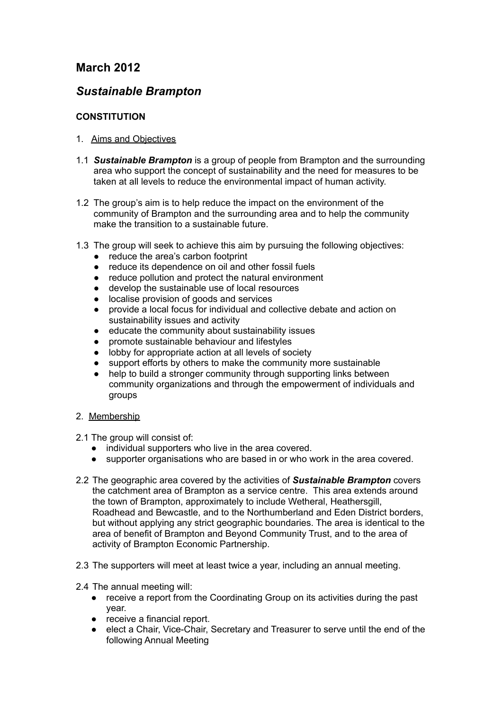## **March 2012**

## *Sustainable Brampton*

## **CONSTITUTION**

## 1. Aims and Objectives

- 1.1 *Sustainable Brampton* is a group of people from Brampton and the surrounding area who support the concept of sustainability and the need for measures to be taken at all levels to reduce the environmental impact of human activity.
- 1.2 The group's aim is to help reduce the impact on the environment of the community of Brampton and the surrounding area and to help the community make the transition to a sustainable future.
- 1.3 The group will seek to achieve this aim by pursuing the following objectives:
	- reduce the area's carbon footprint
	- reduce its dependence on oil and other fossil fuels
	- reduce pollution and protect the natural environment
	- develop the sustainable use of local resources
	- localise provision of goods and services
	- provide a local focus for individual and collective debate and action on sustainability issues and activity
	- educate the community about sustainability issues
	- promote sustainable behaviour and lifestyles
	- lobby for appropriate action at all levels of society
	- support efforts by others to make the community more sustainable
	- help to build a stronger community through supporting links between community organizations and through the empowerment of individuals and groups
- 2. Membership
- 2.1 The group will consist of:
	- individual supporters who live in the area covered.
	- supporter organisations who are based in or who work in the area covered.
- 2.2 The geographic area covered by the activities of *Sustainable Brampton* covers the catchment area of Brampton as a service centre. This area extends around the town of Brampton, approximately to include Wetheral, Heathersgill, Roadhead and Bewcastle, and to the Northumberland and Eden District borders, but without applying any strict geographic boundaries. The area is identical to the area of benefit of Brampton and Beyond Community Trust, and to the area of activity of Brampton Economic Partnership.
- 2.3 The supporters will meet at least twice a year, including an annual meeting.
- 2.4 The annual meeting will:
	- receive a report from the Coordinating Group on its activities during the past year.
	- receive a financial report.
	- elect a Chair, Vice-Chair, Secretary and Treasurer to serve until the end of the following Annual Meeting